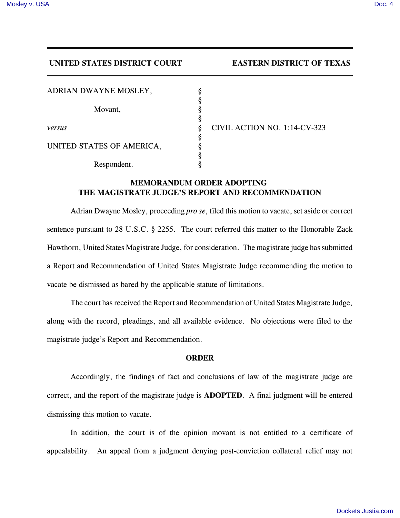## **UNITED STATES DISTRICT COURT EASTERN DISTRICT OF TEXAS**

| ADRIAN DWAYNE MOSLEY,     |   |
|---------------------------|---|
|                           | ş |
| Movant,                   | ş |
|                           | Ş |
| versus                    | Ş |
|                           |   |
| UNITED STATES OF AMERICA, |   |
|                           | ş |
| Respondent.               |   |

*versus* § CIVIL ACTION NO. 1:14-CV-323

## **MEMORANDUM ORDER ADOPTING THE MAGISTRATE JUDGE'S REPORT AND RECOMMENDATION**

Adrian Dwayne Mosley, proceeding *pro se*, filed this motion to vacate, set aside or correct sentence pursuant to 28 U.S.C. § 2255. The court referred this matter to the Honorable Zack Hawthorn, United States Magistrate Judge, for consideration. The magistrate judge has submitted a Report and Recommendation of United States Magistrate Judge recommending the motion to vacate be dismissed as bared by the applicable statute of limitations.

The court has received the Report and Recommendation of United States Magistrate Judge, along with the record, pleadings, and all available evidence. No objections were filed to the magistrate judge's Report and Recommendation.

## **ORDER**

Accordingly, the findings of fact and conclusions of law of the magistrate judge are correct, and the report of the magistrate judge is **ADOPTED**. A final judgment will be entered dismissing this motion to vacate.

In addition, the court is of the opinion movant is not entitled to a certificate of appealability. An appeal from a judgment denying post-conviction collateral relief may not